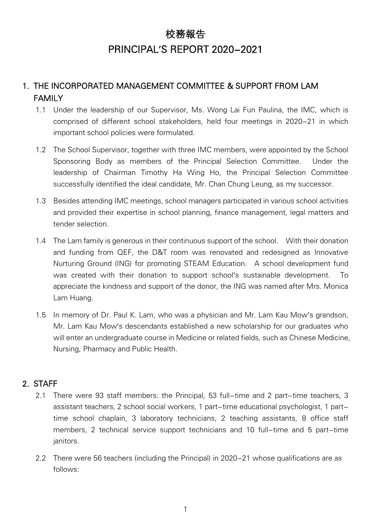# 校務報告 PRINCIPAL'S REPORT 2020-2021

# 1. THE INCORPORATED MANAGEMENT COMMITTEE & SUPPORT FROM LAM FAMILY

- 1.1 Under the leadership of our Supervisor, Ms. Wong Lai Fun Paulina, the IMC, which is comprised of different school stakeholders, held four meetings in 2020-21 in which important school policies were formulated.
- 1.2 The School Supervisor, together with three IMC members, were appointed by the School Sponsoring Body as members of the Principal Selection Committee. Under the leadership of Chairman Timothy Ha Wing Ho, the Principal Selection Committee successfully identified the ideal candidate, Mr. Chan Chung Leung, as my successor.
- 1.3 Besides attending IMC meetings, school managers participated in various school activities and provided their expertise in school planning, finance management, legal matters and tender selection.
- 1.4 The Lam family is generous in their continuous support of the school. With their donation and funding from QEF, the D&T room was renovated and redesigned as Innovative Nurturing Ground (ING) for promoting STEAM Education. A school development fund was created with their donation to support school's sustainable development. To appreciate the kindness and support of the donor, the ING was named after Mrs. Monica Lam Huang.
- 1.5 In memory of Dr. Paul K. Lam, who was a physician and Mr. Lam Kau Mow's grandson, Mr. Lam Kau Mow's descendants established a new scholarship for our graduates who will enter an undergraduate course in Medicine or related fields, such as Chinese Medicine, Nursing, Pharmacy and Public Health.

#### 2. STAFF

- 2.1 There were 93 staff members: the Principal, 53 full-time and 2 part-time teachers, 3 assistant teachers, 2 school social workers, 1 part-time educational psychologist, 1 parttime school chaplain, 3 laboratory technicians, 2 teaching assistants, 8 office staff members, 2 technical service support technicians and 10 full-time and 5 part-time janitors.
- 2.2 There were 56 teachers (including the Principal) in 2020-21 whose qualifications are as follows: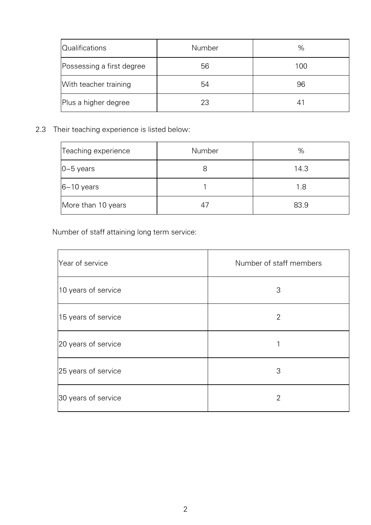| <b>Qualifications</b>     | Number | %   |
|---------------------------|--------|-----|
| Possessing a first degree | 56     | 100 |
| With teacher training     | 54     | 96  |
| Plus a higher degree      | 23     | 41  |

2.3 Their teaching experience is listed below:

| Teaching experience | Number | %    |
|---------------------|--------|------|
| $0-5$ years         |        | 14.3 |
| $6-10$ years        |        | 1.8  |
| More than 10 years  | 47     | 83.9 |

Number of staff attaining long term service:

| Year of service     | Number of staff members |
|---------------------|-------------------------|
| 10 years of service | 3                       |
| 15 years of service | 2                       |
| 20 years of service |                         |
| 25 years of service | 3                       |
| 30 years of service | $\overline{2}$          |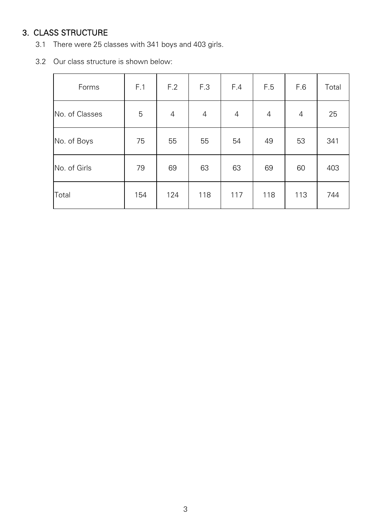# 3. CLASS STRUCTURE

- 3.1 There were 25 classes with 341 boys and 403 girls.
- 3.2 Our class structure is shown below:

| Forms          | F.1 | F.2            | F.3        | F.4            | F.5            | F.6            | Total |
|----------------|-----|----------------|------------|----------------|----------------|----------------|-------|
| No. of Classes | 5   | $\overline{4}$ | $\sqrt{4}$ | $\overline{4}$ | $\overline{4}$ | $\overline{4}$ | 25    |
| No. of Boys    | 75  | 55             | 55         | 54             | 49             | 53             | 341   |
| No. of Girls   | 79  | 69             | 63         | 63             | 69             | 60             | 403   |
| Total          | 154 | 124            | 118        | 117            | 118            | 113            | 744   |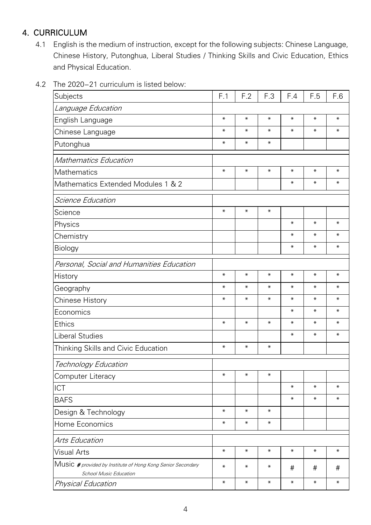## 4. CURRICULUM

- 4.1 English is the medium of instruction, except for the following subjects: Chinese Language, Chinese History, Putonghua, Liberal Studies / Thinking Skills and Civic Education, Ethics and Physical Education.
- 4.2 The 2020-21 curriculum is listed below:

| Subjects                                                                                     | F.1          | F.2          | F.3          | F.4    | F.5          | F.6          |
|----------------------------------------------------------------------------------------------|--------------|--------------|--------------|--------|--------------|--------------|
| Language Education                                                                           |              |              |              |        |              |              |
| English Language                                                                             | $\ast$       | $\ast$       | $\ast$       | $\ast$ | $\star$      | $\pmb{\ast}$ |
| Chinese Language                                                                             | $\ast$       | $\ast$       | $\ast$       | $\ast$ | $\ast$       | $\ast$       |
| Putonghua                                                                                    | $\ast$       | $\ast$       | $\ast$       |        |              |              |
| <b>Mathematics Education</b>                                                                 |              |              |              |        |              |              |
| Mathematics                                                                                  | $\ast$       | $\pmb{\ast}$ | $\pmb{\ast}$ | $\ast$ | $\star$      | $\ast$       |
| Mathematics Extended Modules 1 & 2                                                           |              |              |              | $\ast$ | $\ast$       | $\ast$       |
| Science Education                                                                            |              |              |              |        |              |              |
| Science                                                                                      | $\pmb{\ast}$ | $\ast$       | $\ast$       |        |              |              |
| Physics                                                                                      |              |              |              | $\ast$ | $\ast$       | $\ast$       |
| Chemistry                                                                                    |              |              |              | $\ast$ | $\ast$       | $\ast$       |
| Biology                                                                                      |              |              |              | $\ast$ | $\pmb{\ast}$ | $\pmb{\ast}$ |
| Personal, Social and Humanities Education                                                    |              |              |              |        |              |              |
| History                                                                                      | $\pmb{\ast}$ | $\ast$       | $\pmb{\ast}$ | $\ast$ | $\star$      | $\ast$       |
| Geography                                                                                    | $\ast$       | $\ast$       | $\ast$       | $\ast$ | $\ast$       | $\ast$       |
| <b>Chinese History</b>                                                                       | $\ast$       | $\ast$       | $\ast$       | $\ast$ | $\ast$       | $\ast$       |
| Economics                                                                                    |              |              |              | $\ast$ | $\ast$       | $\ast$       |
| <b>Ethics</b>                                                                                | $\ast$       | $\ast$       | $\ast$       | $\ast$ | $\ast$       | $\ast$       |
| <b>Liberal Studies</b>                                                                       |              |              |              | $\ast$ | $\ast$       | $\ast$       |
| Thinking Skills and Civic Education                                                          | $\ast$       | $\ast$       | $\ast$       |        |              |              |
| <b>Technology Education</b>                                                                  |              |              |              |        |              |              |
| Computer Literacy                                                                            | $\ast$       | $\pmb{\ast}$ | $\ast$       |        |              |              |
| <b>ICT</b>                                                                                   |              |              |              | $\ast$ | $\ast$       | $\ast$       |
| <b>BAFS</b>                                                                                  |              |              |              | $\ast$ | $\ast$       | $\ast$       |
| Design & Technology                                                                          | $\ast$       | $\ast$       | $\ast$       |        |              |              |
| Home Economics                                                                               | $\star$      | $\ast$       | $\ast$       |        |              |              |
| Arts Education                                                                               |              |              |              |        |              |              |
| Visual Arts                                                                                  | $\ast$       | $\ast$       | $\ast$       | $\ast$ | $\ast$       | $\ast$       |
| Music # provided by Institute of Hong Kong Senior Secondary<br><b>School Music Education</b> | $\ast$       | $\ast$       | $\ast$       | #      | #            | #            |
| <b>Physical Education</b>                                                                    | $\ast$       | $\ast$       | $\ast$       | $\ast$ | $\star$      | $\ast$       |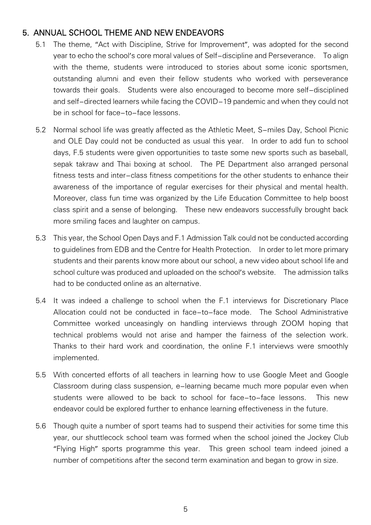#### 5. ANNUAL SCHOOL THEME AND NEW ENDEAVORS

- 5.1 The theme, "Act with Discipline, Strive for Improvement", was adopted for the second year to echo the school's core moral values of Self-discipline and Perseverance. To align with the theme, students were introduced to stories about some iconic sportsmen, outstanding alumni and even their fellow students who worked with perseverance towards their goals. Students were also encouraged to become more self-disciplined and self-directed learners while facing the COVID-19 pandemic and when they could not be in school for face-to-face lessons.
- 5.2 Normal school life was greatly affected as the Athletic Meet, S-miles Day, School Picnic and OLE Day could not be conducted as usual this year. In order to add fun to school days, F.5 students were given opportunities to taste some new sports such as baseball, sepak takraw and Thai boxing at school. The PE Department also arranged personal fitness tests and inter-class fitness competitions for the other students to enhance their awareness of the importance of regular exercises for their physical and mental health. Moreover, class fun time was organized by the Life Education Committee to help boost class spirit and a sense of belonging. These new endeavors successfully brought back more smiling faces and laughter on campus.
- 5.3 This year, the School Open Days and F.1 Admission Talk could not be conducted according to guidelines from EDB and the Centre for Health Protection. In order to let more primary students and their parents know more about our school, a new video about school life and school culture was produced and uploaded on the school's website. The admission talks had to be conducted online as an alternative.
- 5.4 It was indeed a challenge to school when the F.1 interviews for Discretionary Place Allocation could not be conducted in face-to-face mode. The School Administrative Committee worked unceasingly on handling interviews through ZOOM hoping that technical problems would not arise and hamper the fairness of the selection work. Thanks to their hard work and coordination, the online F.1 interviews were smoothly implemented.
- 5.5 With concerted efforts of all teachers in learning how to use Google Meet and Google Classroom during class suspension, e-learning became much more popular even when students were allowed to be back to school for face-to-face lessons. This new endeavor could be explored further to enhance learning effectiveness in the future.
- 5.6 Though quite a number of sport teams had to suspend their activities for some time this year, our shuttlecock school team was formed when the school joined the Jockey Club "Flying High" sports programme this year. This green school team indeed joined a number of competitions after the second term examination and began to grow in size.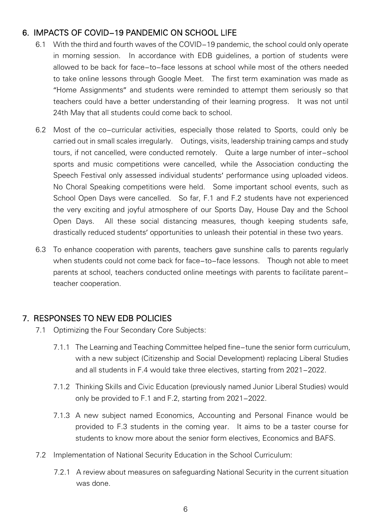### 6. IMPACTS OF COVID-19 PANDEMIC ON SCHOOL LIFE

- 6.1 With the third and fourth waves of the COVID-19 pandemic, the school could only operate in morning session. In accordance with EDB guidelines, a portion of students were allowed to be back for face-to-face lessons at school while most of the others needed to take online lessons through Google Meet. The first term examination was made as "Home Assignments" and students were reminded to attempt them seriously so that teachers could have a better understanding of their learning progress. It was not until 24th May that all students could come back to school.
- 6.2 Most of the co-curricular activities, especially those related to Sports, could only be carried out in small scales irregularly. Outings, visits, leadership training camps and study tours, if not cancelled, were conducted remotely. Quite a large number of inter-school sports and music competitions were cancelled, while the Association conducting the Speech Festival only assessed individual students' performance using uploaded videos. No Choral Speaking competitions were held. Some important school events, such as School Open Days were cancelled. So far, F.1 and F.2 students have not experienced the very exciting and joyful atmosphere of our Sports Day, House Day and the School Open Days. All these social distancing measures, though keeping students safe, drastically reduced students' opportunities to unleash their potential in these two years.
- 6.3 To enhance cooperation with parents, teachers gave sunshine calls to parents regularly when students could not come back for face-to-face lessons. Though not able to meet parents at school, teachers conducted online meetings with parents to facilitate parentteacher cooperation.

#### 7. RESPONSES TO NEW EDB POLICIES

- 7.1 Optimizing the Four Secondary Core Subjects:
	- 7.1.1 The Learning and Teaching Committee helped fine-tune the senior form curriculum, with a new subject (Citizenship and Social Development) replacing Liberal Studies and all students in F.4 would take three electives, starting from 2021-2022.
	- 7.1.2 Thinking Skills and Civic Education (previously named Junior Liberal Studies) would only be provided to F.1 and F.2, starting from 2021-2022.
	- 7.1.3 A new subject named Economics, Accounting and Personal Finance would be provided to F.3 students in the coming year. It aims to be a taster course for students to know more about the senior form electives, Economics and BAFS.
- 7.2 Implementation of National Security Education in the School Curriculum:
	- 7.2.1 A review about measures on safeguarding National Security in the current situation was done.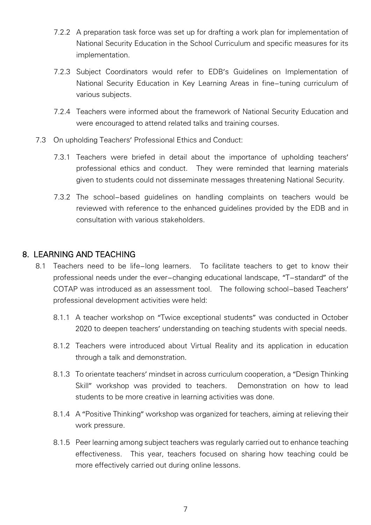- 7.2.2 A preparation task force was set up for drafting a work plan for implementation of National Security Education in the School Curriculum and specific measures for its implementation.
- 7.2.3 Subject Coordinators would refer to EDB's Guidelines on Implementation of National Security Education in Key Learning Areas in fine-tuning curriculum of various subjects.
- 7.2.4 Teachers were informed about the framework of National Security Education and were encouraged to attend related talks and training courses.
- 7.3 On upholding Teachers' Professional Ethics and Conduct:
	- 7.3.1 Teachers were briefed in detail about the importance of upholding teachers' professional ethics and conduct. They were reminded that learning materials given to students could not disseminate messages threatening National Security.
	- 7.3.2 The school-based guidelines on handling complaints on teachers would be reviewed with reference to the enhanced guidelines provided by the EDB and in consultation with various stakeholders.

#### 8. LEARNING AND TEACHING

- 8.1 Teachers need to be life-long learners. To facilitate teachers to get to know their professional needs under the ever-changing educational landscape, "T-standard" of the COTAP was introduced as an assessment tool. The following school-based Teachers' professional development activities were held:
	- 8.1.1 A teacher workshop on "Twice exceptional students" was conducted in October 2020 to deepen teachers' understanding on teaching students with special needs.
	- 8.1.2 Teachers were introduced about Virtual Reality and its application in education through a talk and demonstration.
	- 8.1.3 To orientate teachers' mindset in across curriculum cooperation, a "Design Thinking Skill" workshop was provided to teachers. Demonstration on how to lead students to be more creative in learning activities was done.
	- 8.1.4 A "Positive Thinking" workshop was organized for teachers, aiming at relieving their work pressure.
	- 8.1.5 Peer learning among subject teachers was regularly carried out to enhance teaching effectiveness. This year, teachers focused on sharing how teaching could be more effectively carried out during online lessons.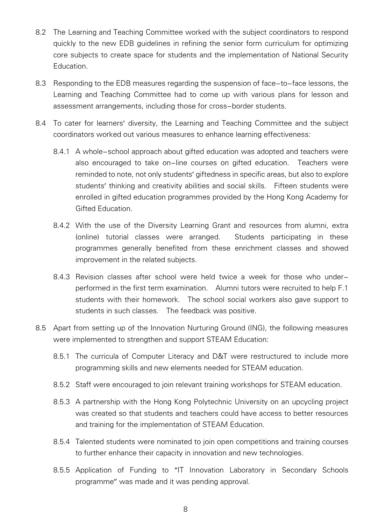- 8.2 The Learning and Teaching Committee worked with the subject coordinators to respond quickly to the new EDB guidelines in refining the senior form curriculum for optimizing core subjects to create space for students and the implementation of National Security **Education**
- 8.3 Responding to the EDB measures regarding the suspension of face-to-face lessons, the Learning and Teaching Committee had to come up with various plans for lesson and assessment arrangements, including those for cross-border students.
- 8.4 To cater for learners' diversity, the Learning and Teaching Committee and the subject coordinators worked out various measures to enhance learning effectiveness:
	- 8.4.1 A whole-school approach about gifted education was adopted and teachers were also encouraged to take on-line courses on gifted education. Teachers were reminded to note, not only students' giftedness in specific areas, but also to explore students' thinking and creativity abilities and social skills. Fifteen students were enrolled in gifted education programmes provided by the Hong Kong Academy for Gifted Education.
	- 8.4.2 With the use of the Diversity Learning Grant and resources from alumni, extra (online) tutorial classes were arranged. Students participating in these programmes generally benefited from these enrichment classes and showed improvement in the related subjects.
	- 8.4.3 Revision classes after school were held twice a week for those who underperformed in the first term examination. Alumni tutors were recruited to help F.1 students with their homework. The school social workers also gave support to students in such classes. The feedback was positive.
- 8.5 Apart from setting up of the Innovation Nurturing Ground (ING), the following measures were implemented to strengthen and support STEAM Education:
	- 8.5.1 The curricula of Computer Literacy and D&T were restructured to include more programming skills and new elements needed for STEAM education.
	- 8.5.2 Staff were encouraged to join relevant training workshops for STEAM education.
	- 8.5.3 A partnership with the Hong Kong Polytechnic University on an upcycling project was created so that students and teachers could have access to better resources and training for the implementation of STEAM Education.
	- 8.5.4 Talented students were nominated to join open competitions and training courses to further enhance their capacity in innovation and new technologies.
	- 8.5.5 Application of Funding to "IT Innovation Laboratory in Secondary Schools programme" was made and it was pending approval.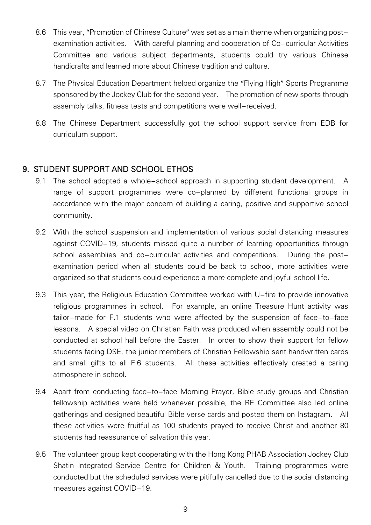- 8.6 This year, "Promotion of Chinese Culture" was set as a main theme when organizing postexamination activities. With careful planning and cooperation of Co-curricular Activities Committee and various subject departments, students could try various Chinese handicrafts and learned more about Chinese tradition and culture.
- 8.7 The Physical Education Department helped organize the "Flying High" Sports Programme sponsored by the Jockey Club for the second year. The promotion of new sports through assembly talks, fitness tests and competitions were well-received.
- 8.8 The Chinese Department successfully got the school support service from EDB for curriculum support.

#### 9. STUDENT SUPPORT AND SCHOOL ETHOS

- 9.1 The school adopted a whole-school approach in supporting student development. A range of support programmes were co-planned by different functional groups in accordance with the major concern of building a caring, positive and supportive school community.
- 9.2 With the school suspension and implementation of various social distancing measures against COVID-19, students missed quite a number of learning opportunities through school assemblies and co-curricular activities and competitions. During the postexamination period when all students could be back to school, more activities were organized so that students could experience a more complete and joyful school life.
- 9.3 This year, the Religious Education Committee worked with U-fire to provide innovative religious programmes in school. For example, an online Treasure Hunt activity was tailor-made for F.1 students who were affected by the suspension of face-to-face lessons. A special video on Christian Faith was produced when assembly could not be conducted at school hall before the Easter. In order to show their support for fellow students facing DSE, the junior members of Christian Fellowship sent handwritten cards and small gifts to all F.6 students. All these activities effectively created a caring atmosphere in school.
- 9.4 Apart from conducting face-to-face Morning Prayer, Bible study groups and Christian fellowship activities were held whenever possible, the RE Committee also led online gatherings and designed beautiful Bible verse cards and posted them on Instagram. All these activities were fruitful as 100 students prayed to receive Christ and another 80 students had reassurance of salvation this year.
- 9.5 The volunteer group kept cooperating with the Hong Kong PHAB Association Jockey Club Shatin Integrated Service Centre for Children & Youth. Training programmes were conducted but the scheduled services were pitifully cancelled due to the social distancing measures against COVID-19.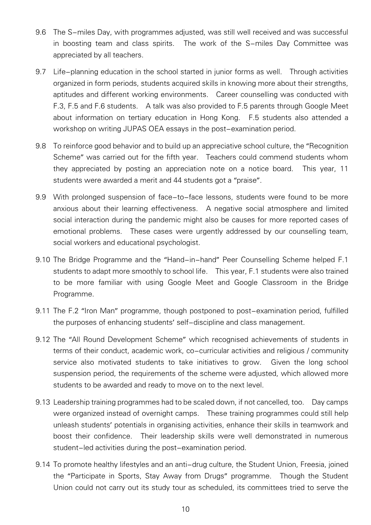- 9.6 The S-miles Day, with programmes adjusted, was still well received and was successful in boosting team and class spirits. The work of the S-miles Day Committee was appreciated by all teachers.
- 9.7 Life-planning education in the school started in junior forms as well. Through activities organized in form periods, students acquired skills in knowing more about their strengths, aptitudes and different working environments. Career counselling was conducted with F.3, F.5 and F.6 students. A talk was also provided to F.5 parents through Google Meet about information on tertiary education in Hong Kong. F.5 students also attended a workshop on writing JUPAS OEA essays in the post-examination period.
- 9.8 To reinforce good behavior and to build up an appreciative school culture, the "Recognition Scheme" was carried out for the fifth year. Teachers could commend students whom they appreciated by posting an appreciation note on a notice board. This year, 11 students were awarded a merit and 44 students got a "praise".
- 9.9 With prolonged suspension of face-to-face lessons, students were found to be more anxious about their learning effectiveness. A negative social atmosphere and limited social interaction during the pandemic might also be causes for more reported cases of emotional problems. These cases were urgently addressed by our counselling team, social workers and educational psychologist.
- 9.10 The Bridge Programme and the "Hand-in-hand" Peer Counselling Scheme helped F.1 students to adapt more smoothly to school life. This year, F.1 students were also trained to be more familiar with using Google Meet and Google Classroom in the Bridge Programme.
- 9.11 The F.2 "Iron Man" programme, though postponed to post-examination period, fulfilled the purposes of enhancing students' self-discipline and class management.
- 9.12 The "All Round Development Scheme" which recognised achievements of students in terms of their conduct, academic work, co-curricular activities and religious / community service also motivated students to take initiatives to grow. Given the long school suspension period, the requirements of the scheme were adjusted, which allowed more students to be awarded and ready to move on to the next level.
- 9.13 Leadership training programmes had to be scaled down, if not cancelled, too. Day camps were organized instead of overnight camps. These training programmes could still help unleash students' potentials in organising activities, enhance their skills in teamwork and boost their confidence. Their leadership skills were well demonstrated in numerous student-led activities during the post-examination period.
- 9.14 To promote healthy lifestyles and an anti-drug culture, the Student Union, Freesia, joined the "Participate in Sports, Stay Away from Drugs" programme. Though the Student Union could not carry out its study tour as scheduled, its committees tried to serve the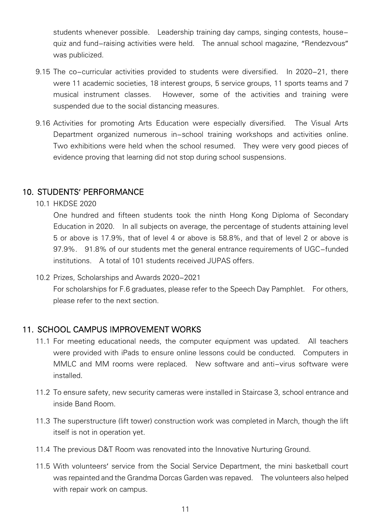students whenever possible. Leadership training day camps, singing contests, housequiz and fund-raising activities were held. The annual school magazine, "Rendezvous" was publicized.

- 9.15 The co-curricular activities provided to students were diversified. In 2020-21, there were 11 academic societies, 18 interest groups, 5 service groups, 11 sports teams and 7 musical instrument classes. However, some of the activities and training were suspended due to the social distancing measures.
- 9.16 Activities for promoting Arts Education were especially diversified. The Visual Arts Department organized numerous in-school training workshops and activities online. Two exhibitions were held when the school resumed. They were very good pieces of evidence proving that learning did not stop during school suspensions.

#### 10. STUDENTS' PERFORMANCE

10.1 HKDSE 2020

One hundred and fifteen students took the ninth Hong Kong Diploma of Secondary Education in 2020. In all subjects on average, the percentage of students attaining level 5 or above is 17.9%, that of level 4 or above is 58.8%, and that of level 2 or above is 97.9%. 91.8% of our students met the general entrance requirements of UGC-funded institutions. A total of 101 students received JUPAS offers.

10.2 Prizes, Scholarships and Awards 2020-2021

For scholarships for F.6 graduates, please refer to the Speech Day Pamphlet. For others, please refer to the next section.

#### 11. SCHOOL CAMPUS IMPROVEMENT WORKS

- 11.1 For meeting educational needs, the computer equipment was updated. All teachers were provided with iPads to ensure online lessons could be conducted. Computers in MMLC and MM rooms were replaced. New software and anti-virus software were installed.
- 11.2 To ensure safety, new security cameras were installed in Staircase 3, school entrance and inside Band Room.
- 11.3 The superstructure (lift tower) construction work was completed in March, though the lift itself is not in operation yet.
- 11.4 The previous D&T Room was renovated into the Innovative Nurturing Ground.
- 11.5 With volunteers' service from the Social Service Department, the mini basketball court was repainted and the Grandma Dorcas Garden was repaved. The volunteers also helped with repair work on campus.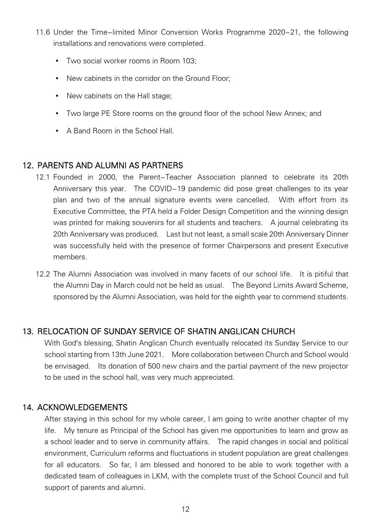- 11.6 Under the Time-limited Minor Conversion Works Programme 2020-21, the following installations and renovations were completed.
	- Two social worker rooms in Room 103;
	- New cabinets in the corridor on the Ground Floor;
	- New cabinets on the Hall stage;
	- Two large PE Store rooms on the ground floor of the school New Annex; and
	- A Band Room in the School Hall

#### 12. PARENTS AND ALUMNI AS PARTNERS

- 12.1 Founded in 2000, the Parent-Teacher Association planned to celebrate its 20th Anniversary this year. The COVID-19 pandemic did pose great challenges to its year plan and two of the annual signature events were cancelled. With effort from its Executive Committee, the PTA held a Folder Design Competition and the winning design was printed for making souvenirs for all students and teachers. A journal celebrating its 20th Anniversary was produced. Last but not least, a small scale 20th Anniversary Dinner was successfully held with the presence of former Chairpersons and present Executive members.
- 12.2 The Alumni Association was involved in many facets of our school life. It is pitiful that the Alumni Day in March could not be held as usual. The Beyond Limits Award Scheme, sponsored by the Alumni Association, was held for the eighth year to commend students.

#### 13. RELOCATION OF SUNDAY SERVICE OF SHATIN ANGLICAN CHURCH

With God's blessing, Shatin Anglican Church eventually relocated its Sunday Service to our school starting from 13th June 2021. More collaboration between Church and School would be envisaged. Its donation of 500 new chairs and the partial payment of the new projector to be used in the school hall, was very much appreciated.

#### 14. ACKNOWLEDGEMENTS

After staying in this school for my whole career, I am going to write another chapter of my life. My tenure as Principal of the School has given me opportunities to learn and grow as a school leader and to serve in community affairs. The rapid changes in social and political environment, Curriculum reforms and fluctuations in student population are great challenges for all educators. So far, I am blessed and honored to be able to work together with a dedicated team of colleagues in LKM, with the complete trust of the School Council and full support of parents and alumni.